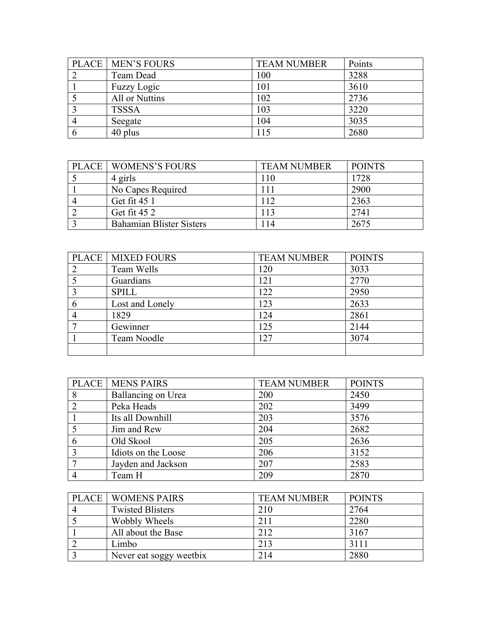| <b>PLACE   MEN'S FOURS</b> | <b>TEAM NUMBER</b> | Points |
|----------------------------|--------------------|--------|
| Team Dead                  | 100                | 3288   |
| <b>Fuzzy Logic</b>         | 101                | 3610   |
| All or Nuttins             | 102                | 2736   |
| <b>TSSSA</b>               | 103                | 3220   |
| Seegate                    | 104                | 3035   |
| 40 plus                    | 115                | 2680   |

| <b>PLACE   WOMENS'S FOURS</b>   | <b>TEAM NUMBER</b> | <b>POINTS</b> |
|---------------------------------|--------------------|---------------|
| 4 girls                         | 110                | 1728          |
| No Capes Required               | 111                | 2900          |
| Get fit 45 1                    | 112                | 2363          |
| Get fit 45 2                    | 113                | 2741          |
| <b>Bahamian Blister Sisters</b> | 14                 | 2675          |

|   | <b>PLACE   MIXED FOURS</b> | <b>TEAM NUMBER</b> | <b>POINTS</b> |
|---|----------------------------|--------------------|---------------|
|   | Team Wells                 | 120                | 3033          |
|   | Guardians                  | 121                | 2770          |
|   | <b>SPILL</b>               | 122                | 2950          |
| 6 | Lost and Lonely            | 123                | 2633          |
|   | 1829                       | 124                | 2861          |
|   | Gewinner                   | 125                | 2144          |
|   | Team Noodle                | 127                | 3074          |
|   |                            |                    |               |

|   | <b>PLACE   MENS PAIRS</b> | <b>TEAM NUMBER</b> | <b>POINTS</b> |
|---|---------------------------|--------------------|---------------|
| 8 | Ballancing on Urea        | 200                | 2450          |
|   | Peka Heads                | 202                | 3499          |
|   | Its all Downhill          | 203                | 3576          |
|   | Jim and Rew               | 204                | 2682          |
| 6 | Old Skool                 | 205                | 2636          |
|   | Idiots on the Loose       | 206                | 3152          |
|   | Jayden and Jackson        | 207                | 2583          |
|   | Team H                    | 209                | 2870          |

| <b>PLACE   WOMENS PAIRS</b> | <b>TEAM NUMBER</b> | <b>POINTS</b> |
|-----------------------------|--------------------|---------------|
| <b>Twisted Blisters</b>     | 210                | 2764          |
| Wobbly Wheels               | 211                | 2280          |
| All about the Base          | 212                | 3167          |
| Limbo                       | 213                | 3111          |
| Never eat soggy weetbix     | 214                | 2880          |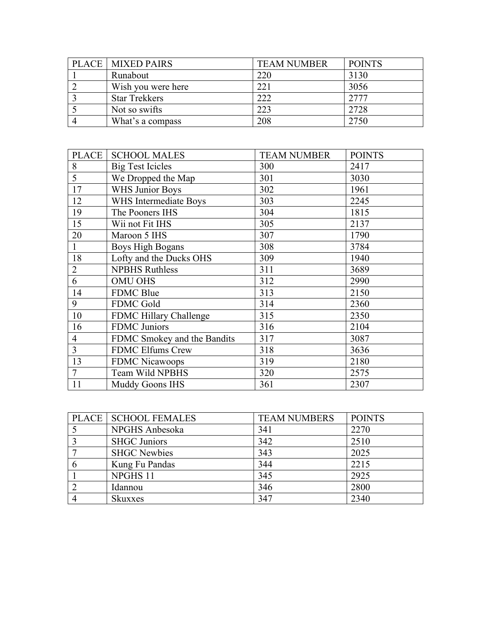| <b>PLACE   MIXED PAIRS</b> | <b>TEAM NUMBER</b> | <b>POINTS</b> |
|----------------------------|--------------------|---------------|
| Runabout                   | 220                | 3130          |
| Wish you were here         | 221                | 3056          |
| <b>Star Trekkers</b>       | 222                | 2777          |
| Not so swifts              | 223                | 2728          |
| What's a compass           | 208                | 2750          |

| <b>PLACE</b>   | <b>SCHOOL MALES</b>         | <b>TEAM NUMBER</b> | <b>POINTS</b> |
|----------------|-----------------------------|--------------------|---------------|
| 8              | <b>Big Test Icicles</b>     | 300                | 2417          |
| 5              | We Dropped the Map          | 301                | 3030          |
| 17             | WHS Junior Boys             | 302                | 1961          |
| 12             | WHS Intermediate Boys       | 303                | 2245          |
| 19             | The Pooners IHS             | 304                | 1815          |
| 15             | Wii not Fit IHS             | 305                | 2137          |
| 20             | Maroon 5 IHS                | 307                | 1790          |
|                | <b>Boys High Bogans</b>     | 308                | 3784          |
| 18             | Lofty and the Ducks OHS     | 309                | 1940          |
| $\overline{2}$ | <b>NPBHS Ruthless</b>       | 311                | 3689          |
| 6              | <b>OMU OHS</b>              | 312                | 2990          |
| 14             | <b>FDMC Blue</b>            | 313                | 2150          |
| 9              | <b>FDMC Gold</b>            | 314                | 2360          |
| 10             | FDMC Hillary Challenge      | 315                | 2350          |
| 16             | <b>FDMC</b> Juniors         | 316                | 2104          |
| 4              | FDMC Smokey and the Bandits | 317                | 3087          |
| 3              | <b>FDMC Elfums Crew</b>     | 318                | 3636          |
| 13             | <b>FDMC Nicawoops</b>       | 319                | 2180          |
| $\tau$         | Team Wild NPBHS             | 320                | 2575          |
| 11             | Muddy Goons IHS             | 361                | 2307          |

| PLACE   SCHOOL FEMALES | <b>TEAM NUMBERS</b> | <b>POINTS</b> |
|------------------------|---------------------|---------------|
| NPGHS Anbesoka         | 341                 | 2270          |
| <b>SHGC Juniors</b>    | 342                 | 2510          |
| <b>SHGC Newbies</b>    | 343                 | 2025          |
| Kung Fu Pandas         | 344                 | 2215          |
| NPGHS 11               | 345                 | 2925          |
| Idannou                | 346                 | 2800          |
| <b>Skuxxes</b>         | 347                 | 2340          |